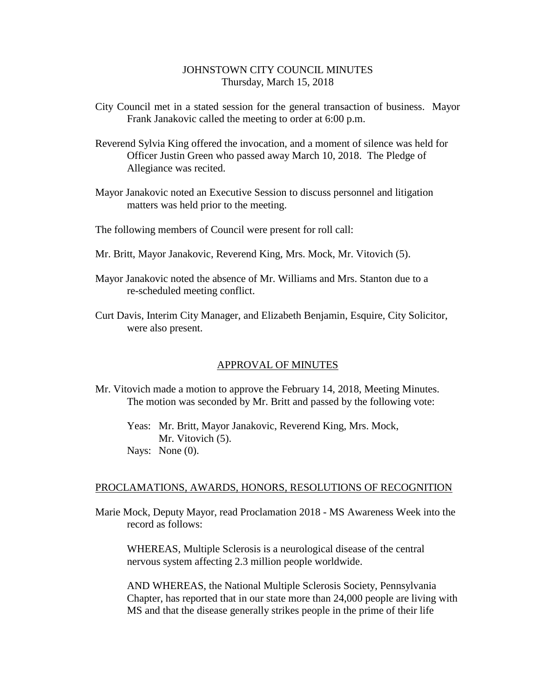# JOHNSTOWN CITY COUNCIL MINUTES Thursday, March 15, 2018

- City Council met in a stated session for the general transaction of business. Mayor Frank Janakovic called the meeting to order at 6:00 p.m.
- Reverend Sylvia King offered the invocation, and a moment of silence was held for Officer Justin Green who passed away March 10, 2018. The Pledge of Allegiance was recited.
- Mayor Janakovic noted an Executive Session to discuss personnel and litigation matters was held prior to the meeting.
- The following members of Council were present for roll call:
- Mr. Britt, Mayor Janakovic, Reverend King, Mrs. Mock, Mr. Vitovich (5).
- Mayor Janakovic noted the absence of Mr. Williams and Mrs. Stanton due to a re-scheduled meeting conflict.
- Curt Davis, Interim City Manager, and Elizabeth Benjamin, Esquire, City Solicitor, were also present.

## APPROVAL OF MINUTES

Mr. Vitovich made a motion to approve the February 14, 2018, Meeting Minutes. The motion was seconded by Mr. Britt and passed by the following vote:

Yeas: Mr. Britt, Mayor Janakovic, Reverend King, Mrs. Mock, Mr. Vitovich (5). Nays: None (0).

### PROCLAMATIONS, AWARDS, HONORS, RESOLUTIONS OF RECOGNITION

Marie Mock, Deputy Mayor, read Proclamation 2018 - MS Awareness Week into the record as follows:

WHEREAS, Multiple Sclerosis is a neurological disease of the central nervous system affecting 2.3 million people worldwide.

AND WHEREAS, the National Multiple Sclerosis Society, Pennsylvania Chapter, has reported that in our state more than 24,000 people are living with MS and that the disease generally strikes people in the prime of their life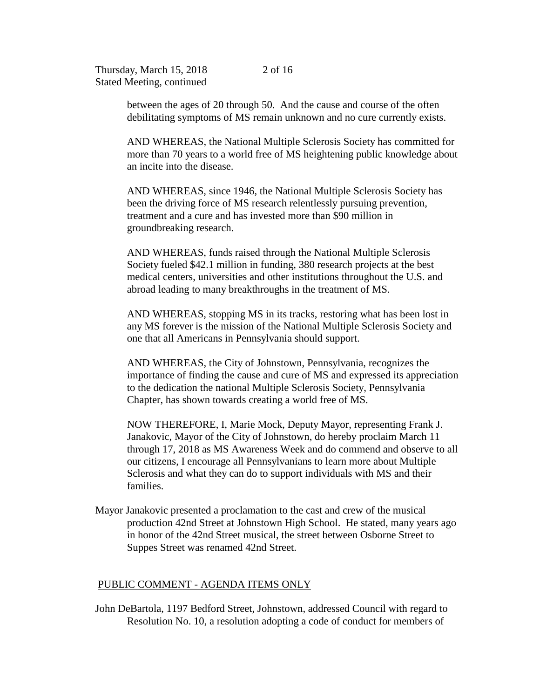between the ages of 20 through 50. And the cause and course of the often debilitating symptoms of MS remain unknown and no cure currently exists.

AND WHEREAS, the National Multiple Sclerosis Society has committed for more than 70 years to a world free of MS heightening public knowledge about an incite into the disease.

AND WHEREAS, since 1946, the National Multiple Sclerosis Society has been the driving force of MS research relentlessly pursuing prevention, treatment and a cure and has invested more than \$90 million in groundbreaking research.

AND WHEREAS, funds raised through the National Multiple Sclerosis Society fueled \$42.1 million in funding, 380 research projects at the best medical centers, universities and other institutions throughout the U.S. and abroad leading to many breakthroughs in the treatment of MS.

AND WHEREAS, stopping MS in its tracks, restoring what has been lost in any MS forever is the mission of the National Multiple Sclerosis Society and one that all Americans in Pennsylvania should support.

AND WHEREAS, the City of Johnstown, Pennsylvania, recognizes the importance of finding the cause and cure of MS and expressed its appreciation to the dedication the national Multiple Sclerosis Society, Pennsylvania Chapter, has shown towards creating a world free of MS.

NOW THEREFORE, I, Marie Mock, Deputy Mayor, representing Frank J. Janakovic, Mayor of the City of Johnstown, do hereby proclaim March 11 through 17, 2018 as MS Awareness Week and do commend and observe to all our citizens, I encourage all Pennsylvanians to learn more about Multiple Sclerosis and what they can do to support individuals with MS and their families.

Mayor Janakovic presented a proclamation to the cast and crew of the musical production 42nd Street at Johnstown High School. He stated, many years ago in honor of the 42nd Street musical, the street between Osborne Street to Suppes Street was renamed 42nd Street.

## PUBLIC COMMENT - AGENDA ITEMS ONLY

John DeBartola, 1197 Bedford Street, Johnstown, addressed Council with regard to Resolution No. 10, a resolution adopting a code of conduct for members of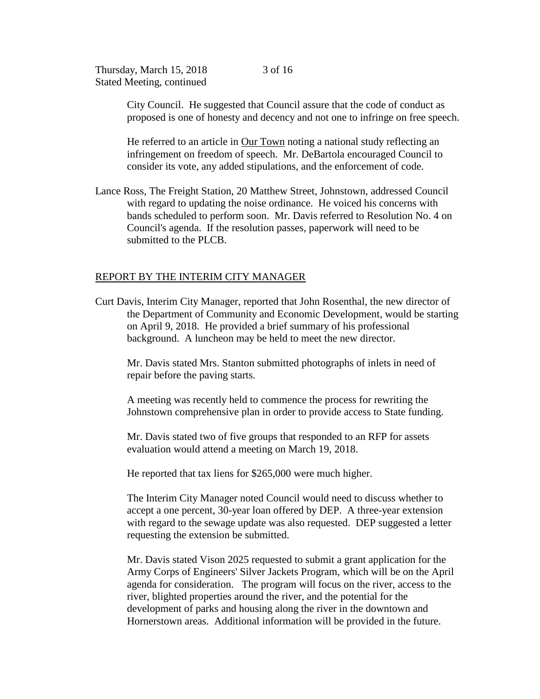City Council. He suggested that Council assure that the code of conduct as proposed is one of honesty and decency and not one to infringe on free speech.

He referred to an article in Our Town noting a national study reflecting an infringement on freedom of speech. Mr. DeBartola encouraged Council to consider its vote, any added stipulations, and the enforcement of code.

Lance Ross, The Freight Station, 20 Matthew Street, Johnstown, addressed Council with regard to updating the noise ordinance. He voiced his concerns with bands scheduled to perform soon. Mr. Davis referred to Resolution No. 4 on Council's agenda. If the resolution passes, paperwork will need to be submitted to the PLCB.

## REPORT BY THE INTERIM CITY MANAGER

Curt Davis, Interim City Manager, reported that John Rosenthal, the new director of the Department of Community and Economic Development, would be starting on April 9, 2018. He provided a brief summary of his professional background. A luncheon may be held to meet the new director.

Mr. Davis stated Mrs. Stanton submitted photographs of inlets in need of repair before the paving starts.

A meeting was recently held to commence the process for rewriting the Johnstown comprehensive plan in order to provide access to State funding.

Mr. Davis stated two of five groups that responded to an RFP for assets evaluation would attend a meeting on March 19, 2018.

He reported that tax liens for \$265,000 were much higher.

 The Interim City Manager noted Council would need to discuss whether to accept a one percent, 30-year loan offered by DEP. A three-year extension with regard to the sewage update was also requested. DEP suggested a letter requesting the extension be submitted.

Mr. Davis stated Vison 2025 requested to submit a grant application for the Army Corps of Engineers' Silver Jackets Program, which will be on the April agenda for consideration. The program will focus on the river, access to the river, blighted properties around the river, and the potential for the development of parks and housing along the river in the downtown and Hornerstown areas. Additional information will be provided in the future.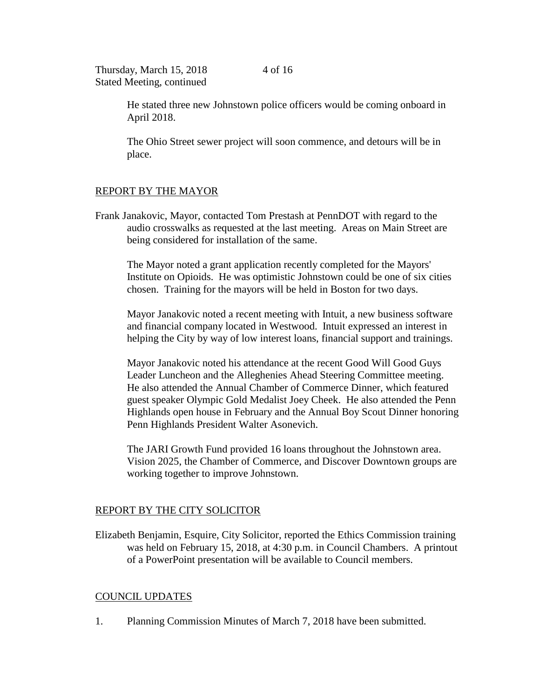4 of 16

Thursday, March 15, 2018 Stated Meeting, continued

> He stated three new Johnstown police officers would be coming onboard in April 2018.

The Ohio Street sewer project will soon commence, and detours will be in place.

# REPORT BY THE MAYOR

Frank Janakovic, Mayor, contacted Tom Prestash at PennDOT with regard to the audio crosswalks as requested at the last meeting. Areas on Main Street are being considered for installation of the same.

The Mayor noted a grant application recently completed for the Mayors' Institute on Opioids. He was optimistic Johnstown could be one of six cities chosen. Training for the mayors will be held in Boston for two days.

Mayor Janakovic noted a recent meeting with Intuit, a new business software and financial company located in Westwood. Intuit expressed an interest in helping the City by way of low interest loans, financial support and trainings.

Mayor Janakovic noted his attendance at the recent Good Will Good Guys Leader Luncheon and the Alleghenies Ahead Steering Committee meeting. He also attended the Annual Chamber of Commerce Dinner, which featured guest speaker Olympic Gold Medalist Joey Cheek. He also attended the Penn Highlands open house in February and the Annual Boy Scout Dinner honoring Penn Highlands President Walter Asonevich.

The JARI Growth Fund provided 16 loans throughout the Johnstown area. Vision 2025, the Chamber of Commerce, and Discover Downtown groups are working together to improve Johnstown.

# REPORT BY THE CITY SOLICITOR

Elizabeth Benjamin, Esquire, City Solicitor, reported the Ethics Commission training was held on February 15, 2018, at 4:30 p.m. in Council Chambers. A printout of a PowerPoint presentation will be available to Council members.

# COUNCIL UPDATES

1. Planning Commission Minutes of March 7, 2018 have been submitted.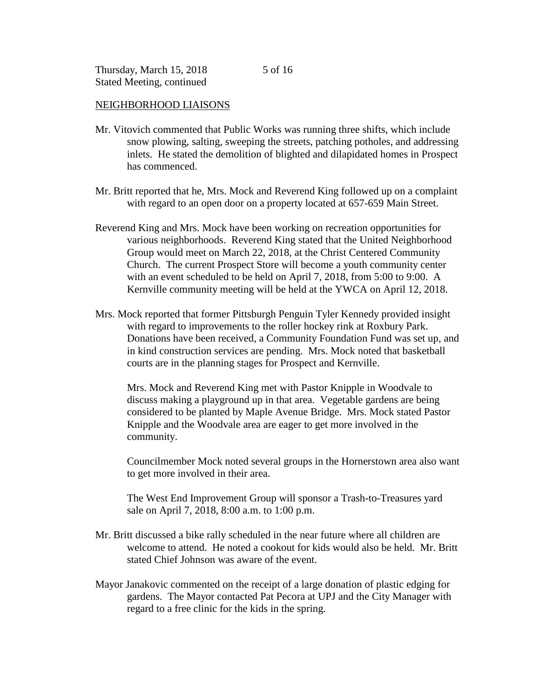# NEIGHBORHOOD LIAISONS

- Mr. Vitovich commented that Public Works was running three shifts, which include snow plowing, salting, sweeping the streets, patching potholes, and addressing inlets. He stated the demolition of blighted and dilapidated homes in Prospect has commenced.
- Mr. Britt reported that he, Mrs. Mock and Reverend King followed up on a complaint with regard to an open door on a property located at 657-659 Main Street.
- Reverend King and Mrs. Mock have been working on recreation opportunities for various neighborhoods. Reverend King stated that the United Neighborhood Group would meet on March 22, 2018, at the Christ Centered Community Church. The current Prospect Store will become a youth community center with an event scheduled to be held on April 7, 2018, from 5:00 to 9:00. A Kernville community meeting will be held at the YWCA on April 12, 2018.
- Mrs. Mock reported that former Pittsburgh Penguin Tyler Kennedy provided insight with regard to improvements to the roller hockey rink at Roxbury Park. Donations have been received, a Community Foundation Fund was set up, and in kind construction services are pending. Mrs. Mock noted that basketball courts are in the planning stages for Prospect and Kernville.

Mrs. Mock and Reverend King met with Pastor Knipple in Woodvale to discuss making a playground up in that area. Vegetable gardens are being considered to be planted by Maple Avenue Bridge. Mrs. Mock stated Pastor Knipple and the Woodvale area are eager to get more involved in the community.

Councilmember Mock noted several groups in the Hornerstown area also want to get more involved in their area.

The West End Improvement Group will sponsor a Trash-to-Treasures yard sale on April 7, 2018, 8:00 a.m. to 1:00 p.m.

- Mr. Britt discussed a bike rally scheduled in the near future where all children are welcome to attend. He noted a cookout for kids would also be held. Mr. Britt stated Chief Johnson was aware of the event.
- Mayor Janakovic commented on the receipt of a large donation of plastic edging for gardens. The Mayor contacted Pat Pecora at UPJ and the City Manager with regard to a free clinic for the kids in the spring.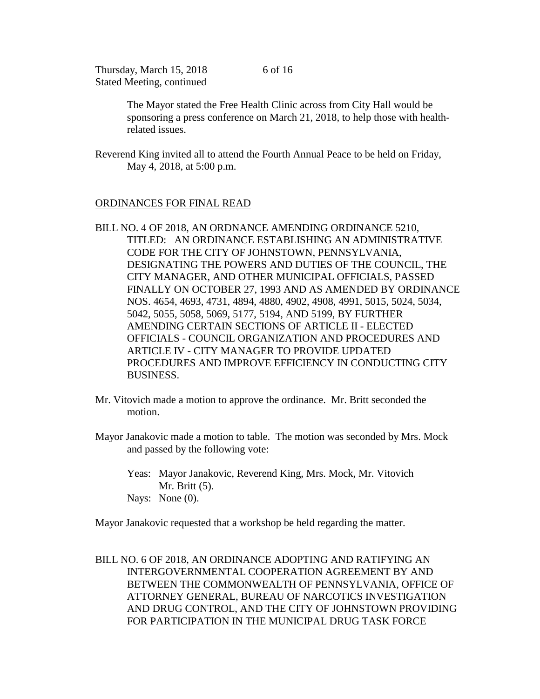> The Mayor stated the Free Health Clinic across from City Hall would be sponsoring a press conference on March 21, 2018, to help those with healthrelated issues.

Reverend King invited all to attend the Fourth Annual Peace to be held on Friday, May 4, 2018, at 5:00 p.m.

# ORDINANCES FOR FINAL READ

- BILL NO. 4 OF 2018, AN ORDNANCE AMENDING ORDINANCE 5210, TITLED: AN ORDINANCE ESTABLISHING AN ADMINISTRATIVE CODE FOR THE CITY OF JOHNSTOWN, PENNSYLVANIA, DESIGNATING THE POWERS AND DUTIES OF THE COUNCIL, THE CITY MANAGER, AND OTHER MUNICIPAL OFFICIALS, PASSED FINALLY ON OCTOBER 27, 1993 AND AS AMENDED BY ORDINANCE NOS. 4654, 4693, 4731, 4894, 4880, 4902, 4908, 4991, 5015, 5024, 5034, 5042, 5055, 5058, 5069, 5177, 5194, AND 5199, BY FURTHER AMENDING CERTAIN SECTIONS OF ARTICLE II - ELECTED OFFICIALS - COUNCIL ORGANIZATION AND PROCEDURES AND ARTICLE IV - CITY MANAGER TO PROVIDE UPDATED PROCEDURES AND IMPROVE EFFICIENCY IN CONDUCTING CITY BUSINESS.
- Mr. Vitovich made a motion to approve the ordinance. Mr. Britt seconded the motion.
- Mayor Janakovic made a motion to table. The motion was seconded by Mrs. Mock and passed by the following vote:
	- Yeas: Mayor Janakovic, Reverend King, Mrs. Mock, Mr. Vitovich Mr. Britt (5). Nays: None  $(0)$ .

Mayor Janakovic requested that a workshop be held regarding the matter.

BILL NO. 6 OF 2018, AN ORDINANCE ADOPTING AND RATIFYING AN INTERGOVERNMENTAL COOPERATION AGREEMENT BY AND BETWEEN THE COMMONWEALTH OF PENNSYLVANIA, OFFICE OF ATTORNEY GENERAL, BUREAU OF NARCOTICS INVESTIGATION AND DRUG CONTROL, AND THE CITY OF JOHNSTOWN PROVIDING FOR PARTICIPATION IN THE MUNICIPAL DRUG TASK FORCE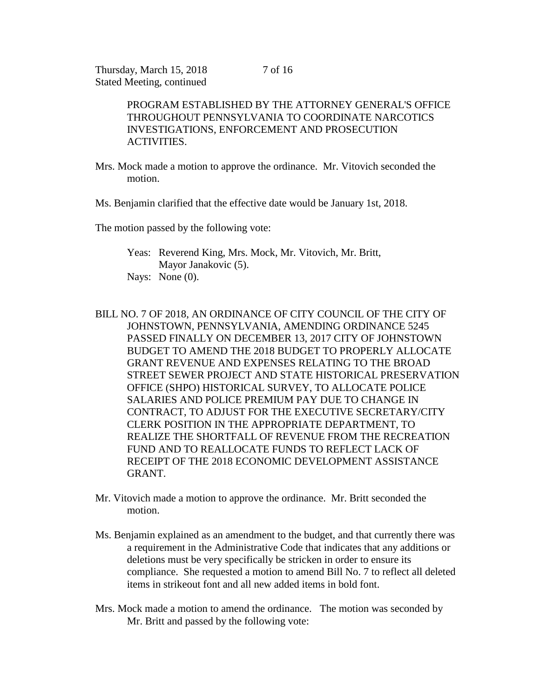PROGRAM ESTABLISHED BY THE ATTORNEY GENERAL'S OFFICE THROUGHOUT PENNSYLVANIA TO COORDINATE NARCOTICS INVESTIGATIONS, ENFORCEMENT AND PROSECUTION ACTIVITIES.

- Mrs. Mock made a motion to approve the ordinance. Mr. Vitovich seconded the motion.
- Ms. Benjamin clarified that the effective date would be January 1st, 2018.

The motion passed by the following vote:

Yeas: Reverend King, Mrs. Mock, Mr. Vitovich, Mr. Britt, Mayor Janakovic (5). Nays: None (0).

- BILL NO. 7 OF 2018, AN ORDINANCE OF CITY COUNCIL OF THE CITY OF JOHNSTOWN, PENNSYLVANIA, AMENDING ORDINANCE 5245 PASSED FINALLY ON DECEMBER 13, 2017 CITY OF JOHNSTOWN BUDGET TO AMEND THE 2018 BUDGET TO PROPERLY ALLOCATE GRANT REVENUE AND EXPENSES RELATING TO THE BROAD STREET SEWER PROJECT AND STATE HISTORICAL PRESERVATION OFFICE (SHPO) HISTORICAL SURVEY, TO ALLOCATE POLICE SALARIES AND POLICE PREMIUM PAY DUE TO CHANGE IN CONTRACT, TO ADJUST FOR THE EXECUTIVE SECRETARY/CITY CLERK POSITION IN THE APPROPRIATE DEPARTMENT, TO REALIZE THE SHORTFALL OF REVENUE FROM THE RECREATION FUND AND TO REALLOCATE FUNDS TO REFLECT LACK OF RECEIPT OF THE 2018 ECONOMIC DEVELOPMENT ASSISTANCE GRANT.
- Mr. Vitovich made a motion to approve the ordinance. Mr. Britt seconded the motion.
- Ms. Benjamin explained as an amendment to the budget, and that currently there was a requirement in the Administrative Code that indicates that any additions or deletions must be very specifically be stricken in order to ensure its compliance. She requested a motion to amend Bill No. 7 to reflect all deleted items in strikeout font and all new added items in bold font.
- Mrs. Mock made a motion to amend the ordinance. The motion was seconded by Mr. Britt and passed by the following vote: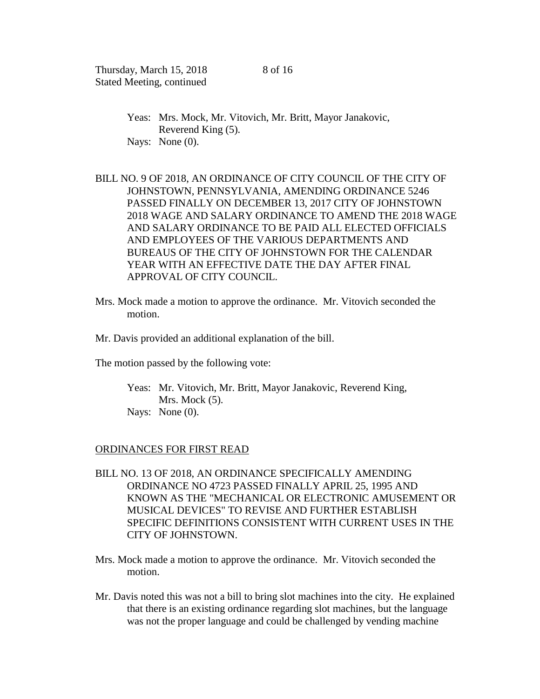- Yeas: Mrs. Mock, Mr. Vitovich, Mr. Britt, Mayor Janakovic, Reverend King (5). Nays: None (0).
- BILL NO. 9 OF 2018, AN ORDINANCE OF CITY COUNCIL OF THE CITY OF JOHNSTOWN, PENNSYLVANIA, AMENDING ORDINANCE 5246 PASSED FINALLY ON DECEMBER 13, 2017 CITY OF JOHNSTOWN 2018 WAGE AND SALARY ORDINANCE TO AMEND THE 2018 WAGE AND SALARY ORDINANCE TO BE PAID ALL ELECTED OFFICIALS AND EMPLOYEES OF THE VARIOUS DEPARTMENTS AND BUREAUS OF THE CITY OF JOHNSTOWN FOR THE CALENDAR YEAR WITH AN EFFECTIVE DATE THE DAY AFTER FINAL APPROVAL OF CITY COUNCIL.
- Mrs. Mock made a motion to approve the ordinance. Mr. Vitovich seconded the motion.
- Mr. Davis provided an additional explanation of the bill.
- The motion passed by the following vote:
	- Yeas: Mr. Vitovich, Mr. Britt, Mayor Janakovic, Reverend King, Mrs. Mock  $(5)$ . Nays: None (0).

#### ORDINANCES FOR FIRST READ

- BILL NO. 13 OF 2018, AN ORDINANCE SPECIFICALLY AMENDING ORDINANCE NO 4723 PASSED FINALLY APRIL 25, 1995 AND KNOWN AS THE "MECHANICAL OR ELECTRONIC AMUSEMENT OR MUSICAL DEVICES" TO REVISE AND FURTHER ESTABLISH SPECIFIC DEFINITIONS CONSISTENT WITH CURRENT USES IN THE CITY OF JOHNSTOWN.
- Mrs. Mock made a motion to approve the ordinance. Mr. Vitovich seconded the motion.
- Mr. Davis noted this was not a bill to bring slot machines into the city. He explained that there is an existing ordinance regarding slot machines, but the language was not the proper language and could be challenged by vending machine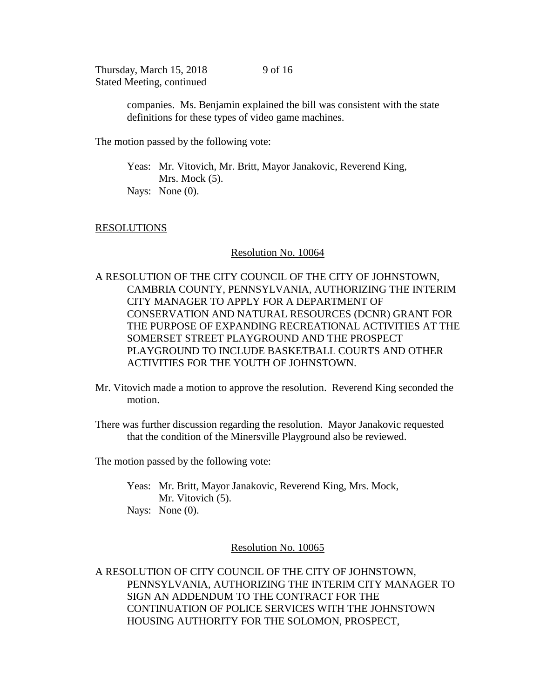9 of 16

companies. Ms. Benjamin explained the bill was consistent with the state definitions for these types of video game machines.

The motion passed by the following vote:

Yeas: Mr. Vitovich, Mr. Britt, Mayor Janakovic, Reverend King, Mrs. Mock  $(5)$ . Nays: None (0).

## RESOLUTIONS

### Resolution No. 10064

A RESOLUTION OF THE CITY COUNCIL OF THE CITY OF JOHNSTOWN, CAMBRIA COUNTY, PENNSYLVANIA, AUTHORIZING THE INTERIM CITY MANAGER TO APPLY FOR A DEPARTMENT OF CONSERVATION AND NATURAL RESOURCES (DCNR) GRANT FOR THE PURPOSE OF EXPANDING RECREATIONAL ACTIVITIES AT THE SOMERSET STREET PLAYGROUND AND THE PROSPECT PLAYGROUND TO INCLUDE BASKETBALL COURTS AND OTHER ACTIVITIES FOR THE YOUTH OF JOHNSTOWN.

Mr. Vitovich made a motion to approve the resolution. Reverend King seconded the motion.

There was further discussion regarding the resolution. Mayor Janakovic requested that the condition of the Minersville Playground also be reviewed.

The motion passed by the following vote:

Yeas: Mr. Britt, Mayor Janakovic, Reverend King, Mrs. Mock, Mr. Vitovich (5). Nays: None (0).

#### Resolution No. 10065

A RESOLUTION OF CITY COUNCIL OF THE CITY OF JOHNSTOWN, PENNSYLVANIA, AUTHORIZING THE INTERIM CITY MANAGER TO SIGN AN ADDENDUM TO THE CONTRACT FOR THE CONTINUATION OF POLICE SERVICES WITH THE JOHNSTOWN HOUSING AUTHORITY FOR THE SOLOMON, PROSPECT,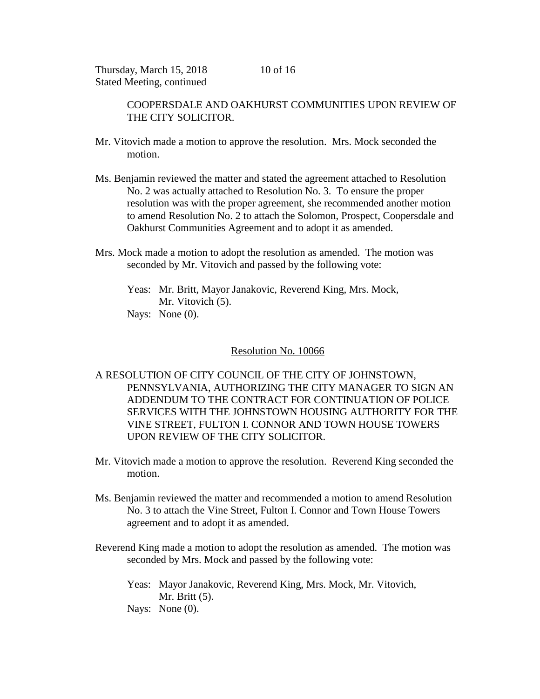> COOPERSDALE AND OAKHURST COMMUNITIES UPON REVIEW OF THE CITY SOLICITOR.

- Mr. Vitovich made a motion to approve the resolution. Mrs. Mock seconded the motion.
- Ms. Benjamin reviewed the matter and stated the agreement attached to Resolution No. 2 was actually attached to Resolution No. 3. To ensure the proper resolution was with the proper agreement, she recommended another motion to amend Resolution No. 2 to attach the Solomon, Prospect, Coopersdale and Oakhurst Communities Agreement and to adopt it as amended.
- Mrs. Mock made a motion to adopt the resolution as amended. The motion was seconded by Mr. Vitovich and passed by the following vote:
	- Yeas: Mr. Britt, Mayor Janakovic, Reverend King, Mrs. Mock, Mr. Vitovich (5). Nays: None (0).

### Resolution No. 10066

A RESOLUTION OF CITY COUNCIL OF THE CITY OF JOHNSTOWN, PENNSYLVANIA, AUTHORIZING THE CITY MANAGER TO SIGN AN ADDENDUM TO THE CONTRACT FOR CONTINUATION OF POLICE SERVICES WITH THE JOHNSTOWN HOUSING AUTHORITY FOR THE VINE STREET, FULTON I. CONNOR AND TOWN HOUSE TOWERS UPON REVIEW OF THE CITY SOLICITOR.

- Mr. Vitovich made a motion to approve the resolution. Reverend King seconded the motion.
- Ms. Benjamin reviewed the matter and recommended a motion to amend Resolution No. 3 to attach the Vine Street, Fulton I. Connor and Town House Towers agreement and to adopt it as amended.
- Reverend King made a motion to adopt the resolution as amended. The motion was seconded by Mrs. Mock and passed by the following vote:
	- Yeas: Mayor Janakovic, Reverend King, Mrs. Mock, Mr. Vitovich, Mr. Britt (5).
	- Nays: None (0).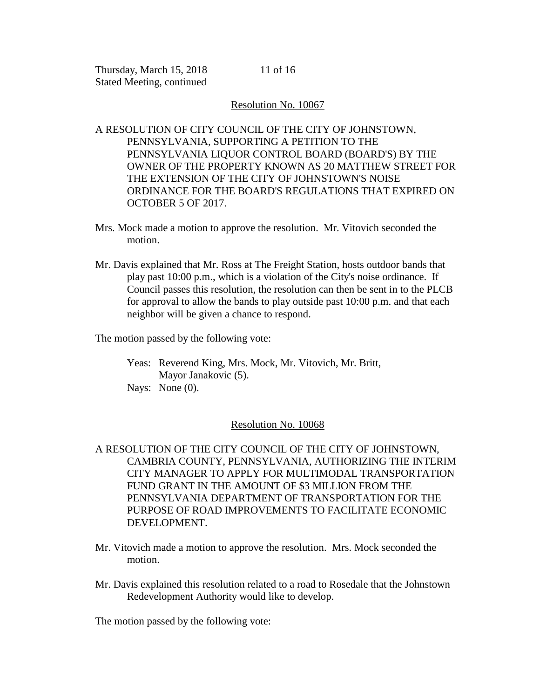11 of 16

## Resolution No. 10067

A RESOLUTION OF CITY COUNCIL OF THE CITY OF JOHNSTOWN, PENNSYLVANIA, SUPPORTING A PETITION TO THE PENNSYLVANIA LIQUOR CONTROL BOARD (BOARD'S) BY THE OWNER OF THE PROPERTY KNOWN AS 20 MATTHEW STREET FOR THE EXTENSION OF THE CITY OF JOHNSTOWN'S NOISE ORDINANCE FOR THE BOARD'S REGULATIONS THAT EXPIRED ON OCTOBER 5 OF 2017.

- Mrs. Mock made a motion to approve the resolution. Mr. Vitovich seconded the motion.
- Mr. Davis explained that Mr. Ross at The Freight Station, hosts outdoor bands that play past 10:00 p.m., which is a violation of the City's noise ordinance. If Council passes this resolution, the resolution can then be sent in to the PLCB for approval to allow the bands to play outside past 10:00 p.m. and that each neighbor will be given a chance to respond.

The motion passed by the following vote:

Yeas: Reverend King, Mrs. Mock, Mr. Vitovich, Mr. Britt, Mayor Janakovic (5). Nays: None (0).

## Resolution No. 10068

- A RESOLUTION OF THE CITY COUNCIL OF THE CITY OF JOHNSTOWN, CAMBRIA COUNTY, PENNSYLVANIA, AUTHORIZING THE INTERIM CITY MANAGER TO APPLY FOR MULTIMODAL TRANSPORTATION FUND GRANT IN THE AMOUNT OF \$3 MILLION FROM THE PENNSYLVANIA DEPARTMENT OF TRANSPORTATION FOR THE PURPOSE OF ROAD IMPROVEMENTS TO FACILITATE ECONOMIC DEVELOPMENT.
- Mr. Vitovich made a motion to approve the resolution. Mrs. Mock seconded the motion.
- Mr. Davis explained this resolution related to a road to Rosedale that the Johnstown Redevelopment Authority would like to develop.

The motion passed by the following vote: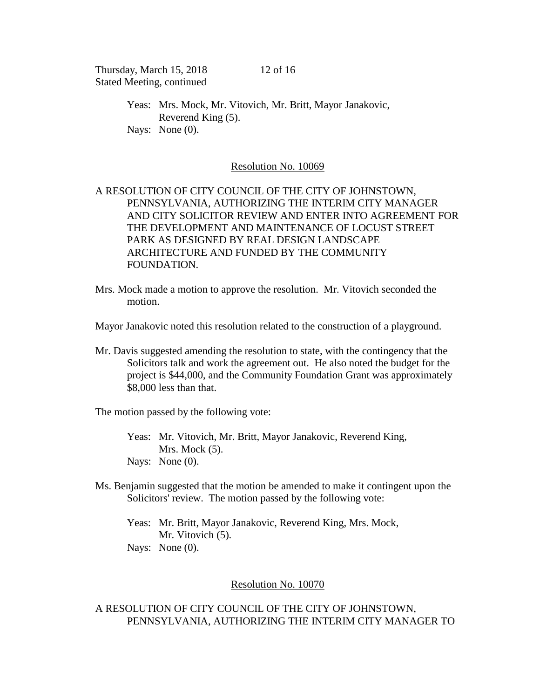Yeas: Mrs. Mock, Mr. Vitovich, Mr. Britt, Mayor Janakovic, Reverend King (5). Nays: None (0).

#### Resolution No. 10069

# A RESOLUTION OF CITY COUNCIL OF THE CITY OF JOHNSTOWN, PENNSYLVANIA, AUTHORIZING THE INTERIM CITY MANAGER AND CITY SOLICITOR REVIEW AND ENTER INTO AGREEMENT FOR THE DEVELOPMENT AND MAINTENANCE OF LOCUST STREET PARK AS DESIGNED BY REAL DESIGN LANDSCAPE ARCHITECTURE AND FUNDED BY THE COMMUNITY FOUNDATION.

Mrs. Mock made a motion to approve the resolution. Mr. Vitovich seconded the motion.

Mayor Janakovic noted this resolution related to the construction of a playground.

Mr. Davis suggested amending the resolution to state, with the contingency that the Solicitors talk and work the agreement out. He also noted the budget for the project is \$44,000, and the Community Foundation Grant was approximately \$8,000 less than that.

The motion passed by the following vote:

- Yeas: Mr. Vitovich, Mr. Britt, Mayor Janakovic, Reverend King, Mrs. Mock  $(5)$ . Nays: None (0).
- Ms. Benjamin suggested that the motion be amended to make it contingent upon the Solicitors' review. The motion passed by the following vote:
	- Yeas: Mr. Britt, Mayor Janakovic, Reverend King, Mrs. Mock, Mr. Vitovich  $(5)$ . Nays: None (0).

# Resolution No. 10070

# A RESOLUTION OF CITY COUNCIL OF THE CITY OF JOHNSTOWN, PENNSYLVANIA, AUTHORIZING THE INTERIM CITY MANAGER TO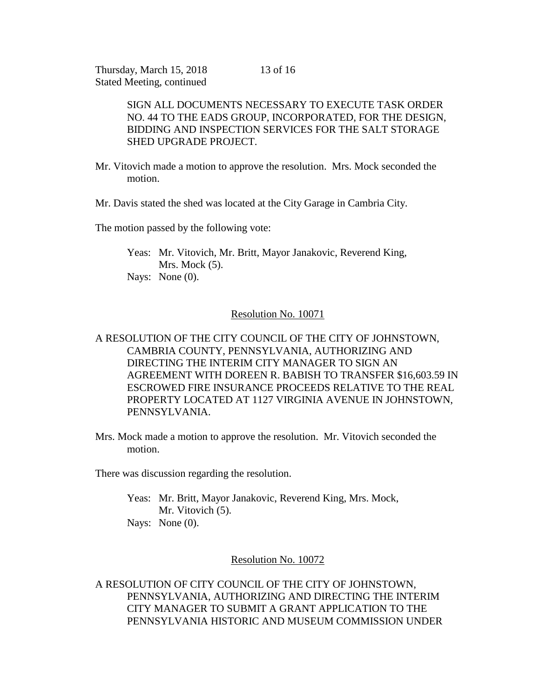> SIGN ALL DOCUMENTS NECESSARY TO EXECUTE TASK ORDER NO. 44 TO THE EADS GROUP, INCORPORATED, FOR THE DESIGN, BIDDING AND INSPECTION SERVICES FOR THE SALT STORAGE SHED UPGRADE PROJECT.

- Mr. Vitovich made a motion to approve the resolution. Mrs. Mock seconded the motion.
- Mr. Davis stated the shed was located at the City Garage in Cambria City.

The motion passed by the following vote:

Yeas: Mr. Vitovich, Mr. Britt, Mayor Janakovic, Reverend King, Mrs. Mock  $(5)$ . Nays: None (0).

# Resolution No. 10071

# A RESOLUTION OF THE CITY COUNCIL OF THE CITY OF JOHNSTOWN, CAMBRIA COUNTY, PENNSYLVANIA, AUTHORIZING AND DIRECTING THE INTERIM CITY MANAGER TO SIGN AN AGREEMENT WITH DOREEN R. BABISH TO TRANSFER \$16,603.59 IN ESCROWED FIRE INSURANCE PROCEEDS RELATIVE TO THE REAL PROPERTY LOCATED AT 1127 VIRGINIA AVENUE IN JOHNSTOWN, PENNSYLVANIA.

Mrs. Mock made a motion to approve the resolution. Mr. Vitovich seconded the motion.

There was discussion regarding the resolution.

Yeas: Mr. Britt, Mayor Janakovic, Reverend King, Mrs. Mock, Mr. Vitovich  $(5)$ . Nays: None  $(0)$ .

# Resolution No. 10072

A RESOLUTION OF CITY COUNCIL OF THE CITY OF JOHNSTOWN, PENNSYLVANIA, AUTHORIZING AND DIRECTING THE INTERIM CITY MANAGER TO SUBMIT A GRANT APPLICATION TO THE PENNSYLVANIA HISTORIC AND MUSEUM COMMISSION UNDER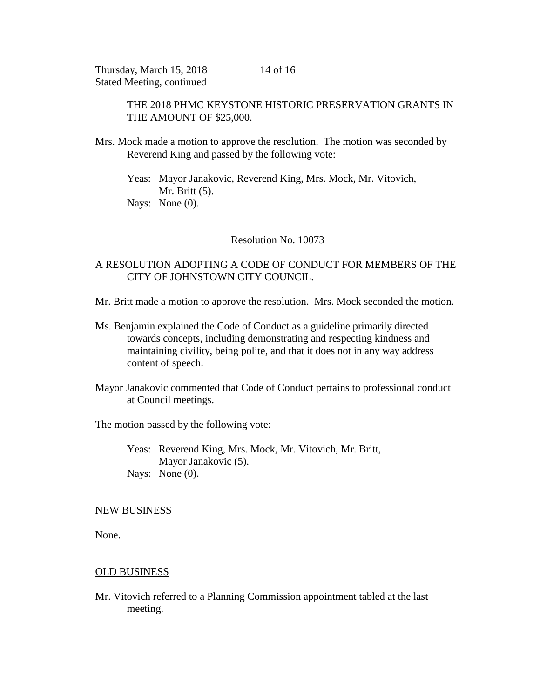> THE 2018 PHMC KEYSTONE HISTORIC PRESERVATION GRANTS IN THE AMOUNT OF \$25,000.

Mrs. Mock made a motion to approve the resolution. The motion was seconded by Reverend King and passed by the following vote:

Yeas: Mayor Janakovic, Reverend King, Mrs. Mock, Mr. Vitovich, Mr. Britt (5). Nays: None (0).

# Resolution No. 10073

# A RESOLUTION ADOPTING A CODE OF CONDUCT FOR MEMBERS OF THE CITY OF JOHNSTOWN CITY COUNCIL.

- Mr. Britt made a motion to approve the resolution. Mrs. Mock seconded the motion.
- Ms. Benjamin explained the Code of Conduct as a guideline primarily directed towards concepts, including demonstrating and respecting kindness and maintaining civility, being polite, and that it does not in any way address content of speech.
- Mayor Janakovic commented that Code of Conduct pertains to professional conduct at Council meetings.

The motion passed by the following vote:

Yeas: Reverend King, Mrs. Mock, Mr. Vitovich, Mr. Britt, Mayor Janakovic (5). Nays: None (0).

#### NEW BUSINESS

None.

## OLD BUSINESS

Mr. Vitovich referred to a Planning Commission appointment tabled at the last meeting.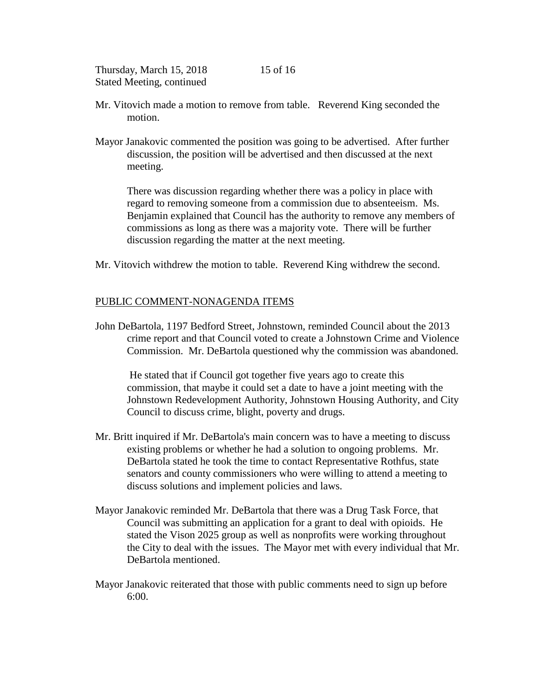- Mr. Vitovich made a motion to remove from table. Reverend King seconded the motion.
- Mayor Janakovic commented the position was going to be advertised. After further discussion, the position will be advertised and then discussed at the next meeting.

There was discussion regarding whether there was a policy in place with regard to removing someone from a commission due to absenteeism. Ms. Benjamin explained that Council has the authority to remove any members of commissions as long as there was a majority vote. There will be further discussion regarding the matter at the next meeting.

Mr. Vitovich withdrew the motion to table. Reverend King withdrew the second.

# PUBLIC COMMENT-NONAGENDA ITEMS

John DeBartola, 1197 Bedford Street, Johnstown, reminded Council about the 2013 crime report and that Council voted to create a Johnstown Crime and Violence Commission. Mr. DeBartola questioned why the commission was abandoned.

He stated that if Council got together five years ago to create this commission, that maybe it could set a date to have a joint meeting with the Johnstown Redevelopment Authority, Johnstown Housing Authority, and City Council to discuss crime, blight, poverty and drugs.

- Mr. Britt inquired if Mr. DeBartola's main concern was to have a meeting to discuss existing problems or whether he had a solution to ongoing problems. Mr. DeBartola stated he took the time to contact Representative Rothfus, state senators and county commissioners who were willing to attend a meeting to discuss solutions and implement policies and laws.
- Mayor Janakovic reminded Mr. DeBartola that there was a Drug Task Force, that Council was submitting an application for a grant to deal with opioids. He stated the Vison 2025 group as well as nonprofits were working throughout the City to deal with the issues. The Mayor met with every individual that Mr. DeBartola mentioned.
- Mayor Janakovic reiterated that those with public comments need to sign up before 6:00.